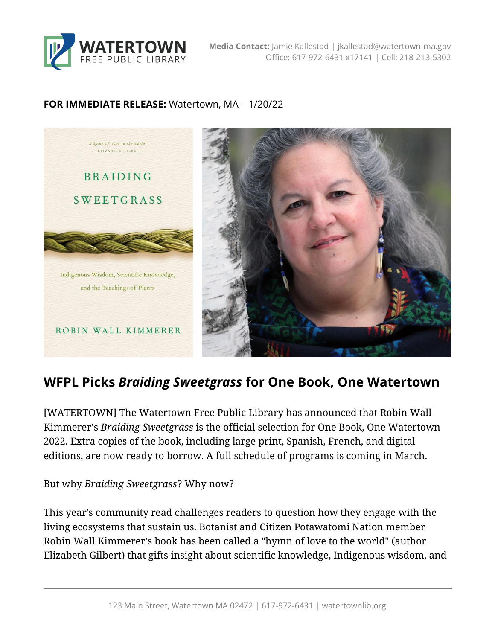

#### **FOR IMMEDIATE RELEASE:** Watertown, MA – 1/20/22



# **WFPL Picks** *Braiding Sweetgrass* **for One Book, One Watertown**

[WATERTOWN] The Watertown Free Public Library has announced that Robin Wall Kimmerer's *Braiding Sweetgrass* is the official selection for One Book, One Watertown 2022. Extra copies of the book, including large print, Spanish, French, and digital editions, are now ready to borrow. A full schedule of programs is coming in March.

## But why *Braiding Sweetgrass*? Why now?

This year's community read challenges readers to question how they engage with the living ecosystems that sustain us. Botanist and Citizen Potawatomi Nation member Robin Wall Kimmerer's book has been called a "hymn of love to the world" (author Elizabeth Gilbert) that gifts insight about scientific knowledge, Indigenous wisdom, and